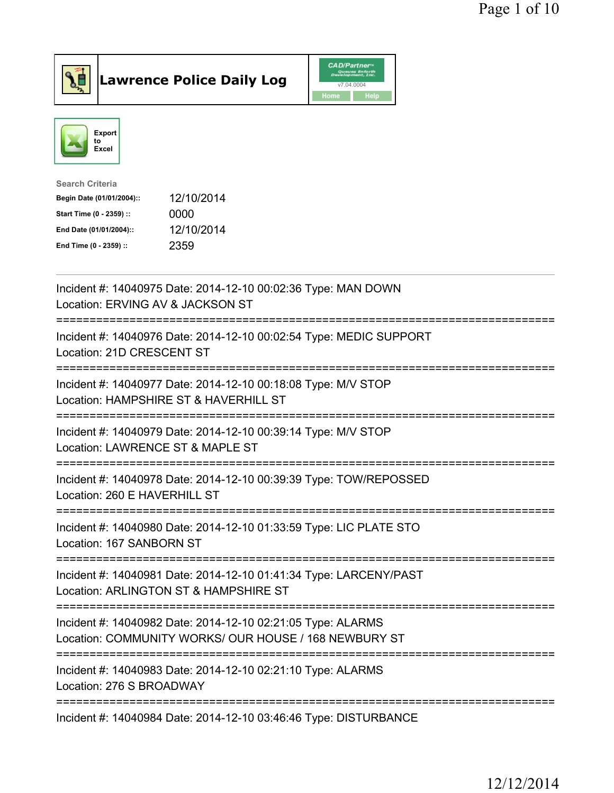



| <b>Search Criteria</b>    |            |
|---------------------------|------------|
| Begin Date (01/01/2004):: | 12/10/2014 |
| Start Time (0 - 2359) ::  | 0000       |
| End Date (01/01/2004)::   | 12/10/2014 |
| End Time (0 - 2359) ::    | 2359       |

| Incident #: 14040975 Date: 2014-12-10 00:02:36 Type: MAN DOWN<br>Location: ERVING AV & JACKSON ST<br>=======                                   |
|------------------------------------------------------------------------------------------------------------------------------------------------|
| Incident #: 14040976 Date: 2014-12-10 00:02:54 Type: MEDIC SUPPORT<br>Location: 21D CRESCENT ST<br>-------------                               |
| Incident #: 14040977 Date: 2014-12-10 00:18:08 Type: M/V STOP<br>Location: HAMPSHIRE ST & HAVERHILL ST<br>============================         |
| Incident #: 14040979 Date: 2014-12-10 00:39:14 Type: M/V STOP<br>Location: LAWRENCE ST & MAPLE ST<br>--------------------------                |
| Incident #: 14040978 Date: 2014-12-10 00:39:39 Type: TOW/REPOSSED<br>Location: 260 E HAVERHILL ST                                              |
| Incident #: 14040980 Date: 2014-12-10 01:33:59 Type: LIC PLATE STO<br>Location: 167 SANBORN ST<br>====================<br>---------------      |
| Incident #: 14040981 Date: 2014-12-10 01:41:34 Type: LARCENY/PAST<br>Location: ARLINGTON ST & HAMPSHIRE ST<br>================================ |
| Incident #: 14040982 Date: 2014-12-10 02:21:05 Type: ALARMS<br>Location: COMMUNITY WORKS/ OUR HOUSE / 168 NEWBURY ST                           |
| Incident #: 14040983 Date: 2014-12-10 02:21:10 Type: ALARMS<br>Location: 276 S BROADWAY                                                        |
| Incident #: 14040984 Date: 2014-12-10 03:46:46 Type: DISTURBANCE                                                                               |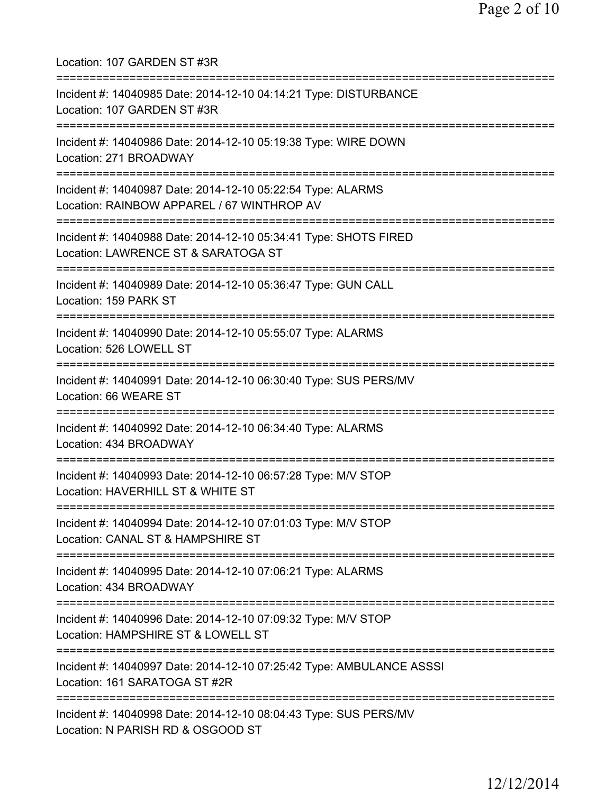Location: 107 GARDEN ST #3R =========================================================================== Incident #: 14040985 Date: 2014-12-10 04:14:21 Type: DISTURBANCE Location: 107 GARDEN ST #3R =========================================================================== Incident #: 14040986 Date: 2014-12-10 05:19:38 Type: WIRE DOWN Location: 271 BROADWAY =========================================================================== Incident #: 14040987 Date: 2014-12-10 05:22:54 Type: ALARMS Location: RAINBOW APPAREL / 67 WINTHROP AV =========================================================================== Incident #: 14040988 Date: 2014-12-10 05:34:41 Type: SHOTS FIRED Location: LAWRENCE ST & SARATOGA ST =========================================================================== Incident #: 14040989 Date: 2014-12-10 05:36:47 Type: GUN CALL Location: 159 PARK ST =========================================================================== Incident #: 14040990 Date: 2014-12-10 05:55:07 Type: ALARMS Location: 526 LOWELL ST =========================================================================== Incident #: 14040991 Date: 2014-12-10 06:30:40 Type: SUS PERS/MV Location: 66 WEARE ST =========================================================================== Incident #: 14040992 Date: 2014-12-10 06:34:40 Type: ALARMS Location: 434 BROADWAY =========================================================================== Incident #: 14040993 Date: 2014-12-10 06:57:28 Type: M/V STOP Location: HAVERHILL ST & WHITE ST =========================================================================== Incident #: 14040994 Date: 2014-12-10 07:01:03 Type: M/V STOP Location: CANAL ST & HAMPSHIRE ST =========================================================================== Incident #: 14040995 Date: 2014-12-10 07:06:21 Type: ALARMS Location: 434 BROADWAY =========================================================================== Incident #: 14040996 Date: 2014-12-10 07:09:32 Type: M/V STOP Location: HAMPSHIRE ST & LOWELL ST =========================================================================== Incident #: 14040997 Date: 2014-12-10 07:25:42 Type: AMBULANCE ASSSI Location: 161 SARATOGA ST #2R =========================================================================== Incident #: 14040998 Date: 2014-12-10 08:04:43 Type: SUS PERS/MV Location: N PARISH RD & OSGOOD ST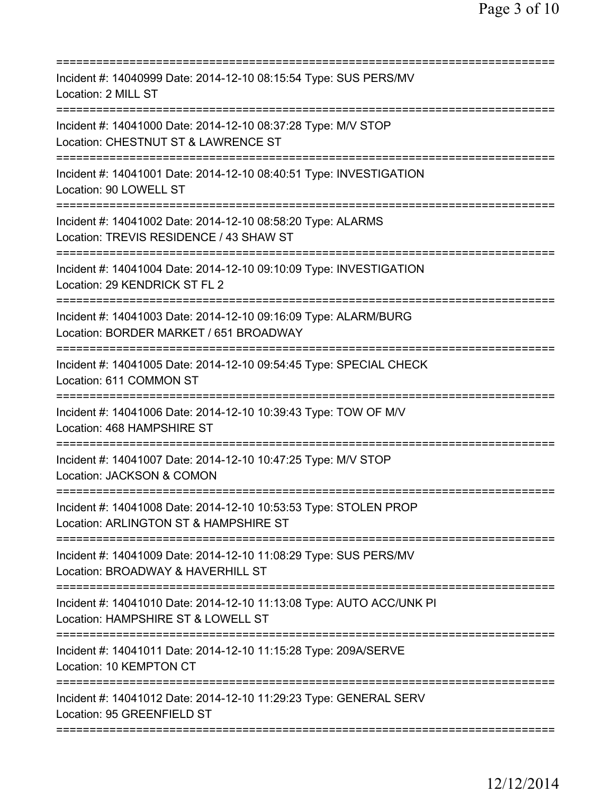| Incident #: 14040999 Date: 2014-12-10 08:15:54 Type: SUS PERS/MV<br>Location: 2 MILL ST<br>========================             |
|---------------------------------------------------------------------------------------------------------------------------------|
| Incident #: 14041000 Date: 2014-12-10 08:37:28 Type: M/V STOP<br>Location: CHESTNUT ST & LAWRENCE ST                            |
| Incident #: 14041001 Date: 2014-12-10 08:40:51 Type: INVESTIGATION<br>Location: 90 LOWELL ST                                    |
| Incident #: 14041002 Date: 2014-12-10 08:58:20 Type: ALARMS<br>Location: TREVIS RESIDENCE / 43 SHAW ST                          |
| Incident #: 14041004 Date: 2014-12-10 09:10:09 Type: INVESTIGATION<br>Location: 29 KENDRICK ST FL 2<br>======================== |
| Incident #: 14041003 Date: 2014-12-10 09:16:09 Type: ALARM/BURG<br>Location: BORDER MARKET / 651 BROADWAY                       |
| Incident #: 14041005 Date: 2014-12-10 09:54:45 Type: SPECIAL CHECK<br>Location: 611 COMMON ST                                   |
| Incident #: 14041006 Date: 2014-12-10 10:39:43 Type: TOW OF M/V<br>Location: 468 HAMPSHIRE ST                                   |
| Incident #: 14041007 Date: 2014-12-10 10:47:25 Type: M/V STOP<br>Location: JACKSON & COMON                                      |
| Incident #: 14041008 Date: 2014-12-10 10:53:53 Type: STOLEN PROP<br>Location: ARLINGTON ST & HAMPSHIRE ST                       |
| Incident #: 14041009 Date: 2014-12-10 11:08:29 Type: SUS PERS/MV<br>Location: BROADWAY & HAVERHILL ST                           |
| Incident #: 14041010 Date: 2014-12-10 11:13:08 Type: AUTO ACC/UNK PI<br>Location: HAMPSHIRE ST & LOWELL ST                      |
| Incident #: 14041011 Date: 2014-12-10 11:15:28 Type: 209A/SERVE<br>Location: 10 KEMPTON CT                                      |
| Incident #: 14041012 Date: 2014-12-10 11:29:23 Type: GENERAL SERV<br>Location: 95 GREENFIELD ST                                 |
|                                                                                                                                 |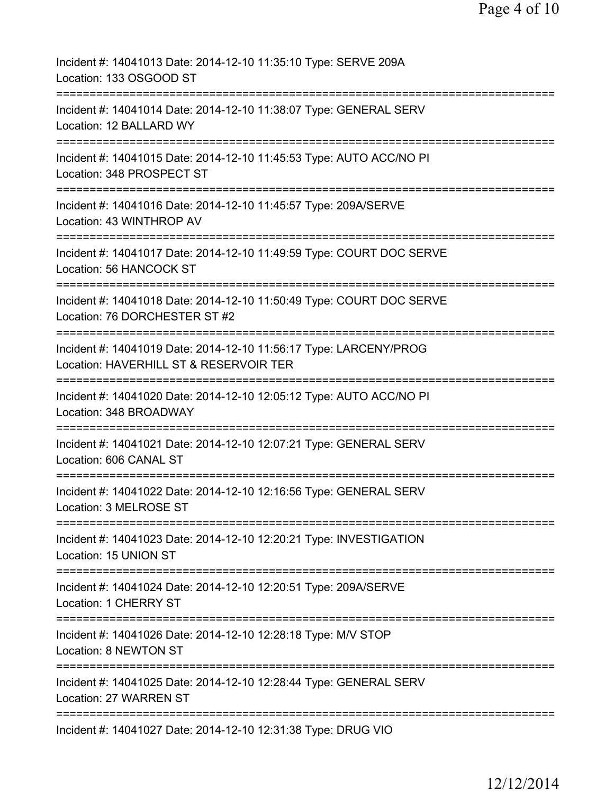| Incident #: 14041013 Date: 2014-12-10 11:35:10 Type: SERVE 209A<br>Location: 133 OSGOOD ST                  |
|-------------------------------------------------------------------------------------------------------------|
| Incident #: 14041014 Date: 2014-12-10 11:38:07 Type: GENERAL SERV<br>Location: 12 BALLARD WY                |
| Incident #: 14041015 Date: 2014-12-10 11:45:53 Type: AUTO ACC/NO PI<br>Location: 348 PROSPECT ST            |
| Incident #: 14041016 Date: 2014-12-10 11:45:57 Type: 209A/SERVE<br>Location: 43 WINTHROP AV                 |
| Incident #: 14041017 Date: 2014-12-10 11:49:59 Type: COURT DOC SERVE<br>Location: 56 HANCOCK ST             |
| Incident #: 14041018 Date: 2014-12-10 11:50:49 Type: COURT DOC SERVE<br>Location: 76 DORCHESTER ST #2       |
| Incident #: 14041019 Date: 2014-12-10 11:56:17 Type: LARCENY/PROG<br>Location: HAVERHILL ST & RESERVOIR TER |
| Incident #: 14041020 Date: 2014-12-10 12:05:12 Type: AUTO ACC/NO PI<br>Location: 348 BROADWAY               |
| Incident #: 14041021 Date: 2014-12-10 12:07:21 Type: GENERAL SERV<br>Location: 606 CANAL ST                 |
| Incident #: 14041022 Date: 2014-12-10 12:16:56 Type: GENERAL SERV<br>Location: 3 MELROSE ST                 |
| Incident #: 14041023 Date: 2014-12-10 12:20:21 Type: INVESTIGATION<br>Location: 15 UNION ST                 |
| Incident #: 14041024 Date: 2014-12-10 12:20:51 Type: 209A/SERVE<br><b>Location: 1 CHERRY ST</b>             |
| Incident #: 14041026 Date: 2014-12-10 12:28:18 Type: M/V STOP<br>Location: 8 NEWTON ST                      |
| Incident #: 14041025 Date: 2014-12-10 12:28:44 Type: GENERAL SERV<br>Location: 27 WARREN ST                 |
| Incident #: 14041027 Date: 2014-12-10 12:31:38 Type: DRUG VIO                                               |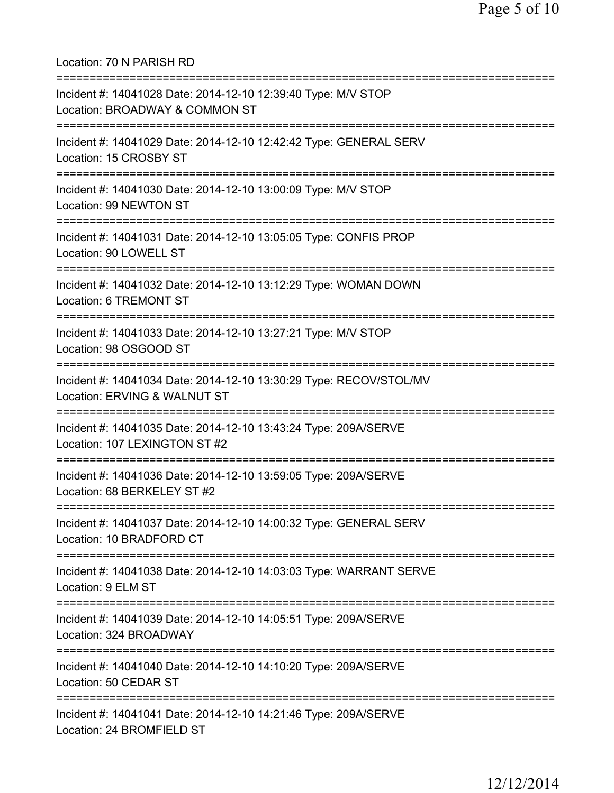Location: 70 N PARISH RD =========================================================================== Incident #: 14041028 Date: 2014-12-10 12:39:40 Type: M/V STOP Location: BROADWAY & COMMON ST =========================================================================== Incident #: 14041029 Date: 2014-12-10 12:42:42 Type: GENERAL SERV Location: 15 CROSBY ST =========================================================================== Incident #: 14041030 Date: 2014-12-10 13:00:09 Type: M/V STOP Location: 99 NEWTON ST =========================================================================== Incident #: 14041031 Date: 2014-12-10 13:05:05 Type: CONFIS PROP Location: 90 LOWELL ST =========================================================================== Incident #: 14041032 Date: 2014-12-10 13:12:29 Type: WOMAN DOWN Location: 6 TREMONT ST =========================================================================== Incident #: 14041033 Date: 2014-12-10 13:27:21 Type: M/V STOP Location: 98 OSGOOD ST =========================================================================== Incident #: 14041034 Date: 2014-12-10 13:30:29 Type: RECOV/STOL/MV Location: ERVING & WALNUT ST =========================================================================== Incident #: 14041035 Date: 2014-12-10 13:43:24 Type: 209A/SERVE Location: 107 LEXINGTON ST #2 =========================================================================== Incident #: 14041036 Date: 2014-12-10 13:59:05 Type: 209A/SERVE Location: 68 BERKELEY ST #2 =========================================================================== Incident #: 14041037 Date: 2014-12-10 14:00:32 Type: GENERAL SERV Location: 10 BRADFORD CT =========================================================================== Incident #: 14041038 Date: 2014-12-10 14:03:03 Type: WARRANT SERVE Location: 9 ELM ST =========================================================================== Incident #: 14041039 Date: 2014-12-10 14:05:51 Type: 209A/SERVE Location: 324 BROADWAY =========================================================================== Incident #: 14041040 Date: 2014-12-10 14:10:20 Type: 209A/SERVE Location: 50 CEDAR ST =========================================================================== Incident #: 14041041 Date: 2014-12-10 14:21:46 Type: 209A/SERVE Location: 24 BROMFIELD ST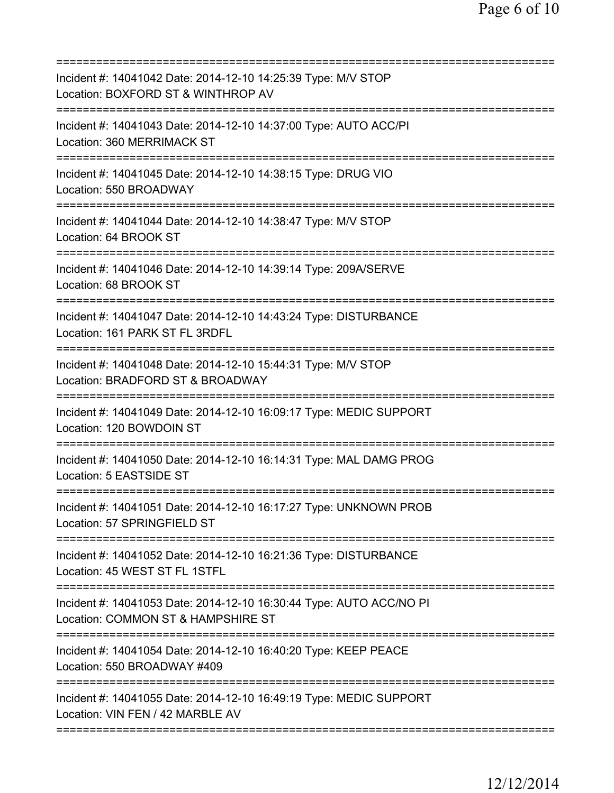| Incident #: 14041042 Date: 2014-12-10 14:25:39 Type: M/V STOP<br>Location: BOXFORD ST & WINTHROP AV                               |
|-----------------------------------------------------------------------------------------------------------------------------------|
| Incident #: 14041043 Date: 2014-12-10 14:37:00 Type: AUTO ACC/PI<br>Location: 360 MERRIMACK ST                                    |
| Incident #: 14041045 Date: 2014-12-10 14:38:15 Type: DRUG VIO<br>Location: 550 BROADWAY                                           |
| Incident #: 14041044 Date: 2014-12-10 14:38:47 Type: M/V STOP<br>Location: 64 BROOK ST                                            |
| Incident #: 14041046 Date: 2014-12-10 14:39:14 Type: 209A/SERVE<br>Location: 68 BROOK ST                                          |
| Incident #: 14041047 Date: 2014-12-10 14:43:24 Type: DISTURBANCE<br>Location: 161 PARK ST FL 3RDFL                                |
| Incident #: 14041048 Date: 2014-12-10 15:44:31 Type: M/V STOP<br>Location: BRADFORD ST & BROADWAY<br>============================ |
| Incident #: 14041049 Date: 2014-12-10 16:09:17 Type: MEDIC SUPPORT<br>Location: 120 BOWDOIN ST                                    |
| Incident #: 14041050 Date: 2014-12-10 16:14:31 Type: MAL DAMG PROG<br>Location: 5 EASTSIDE ST                                     |
| Incident #: 14041051 Date: 2014-12-10 16:17:27 Type: UNKNOWN PROB<br>Location: 57 SPRINGFIELD ST                                  |
| Incident #: 14041052 Date: 2014-12-10 16:21:36 Type: DISTURBANCE<br>Location: 45 WEST ST FL 1STFL                                 |
| Incident #: 14041053 Date: 2014-12-10 16:30:44 Type: AUTO ACC/NO PI<br>Location: COMMON ST & HAMPSHIRE ST                         |
| Incident #: 14041054 Date: 2014-12-10 16:40:20 Type: KEEP PEACE<br>Location: 550 BROADWAY #409                                    |
| Incident #: 14041055 Date: 2014-12-10 16:49:19 Type: MEDIC SUPPORT<br>Location: VIN FEN / 42 MARBLE AV                            |
|                                                                                                                                   |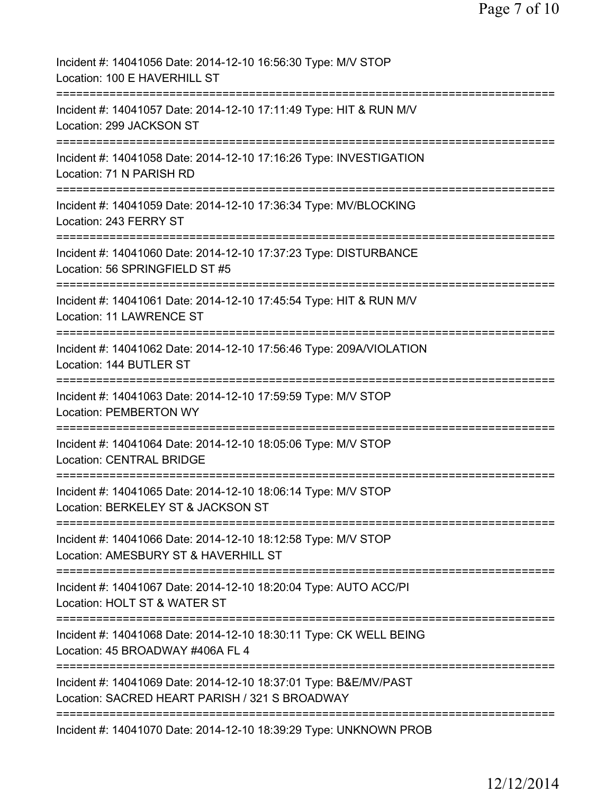| Incident #: 14041056 Date: 2014-12-10 16:56:30 Type: M/V STOP<br>Location: 100 E HAVERHILL ST                                              |
|--------------------------------------------------------------------------------------------------------------------------------------------|
| Incident #: 14041057 Date: 2014-12-10 17:11:49 Type: HIT & RUN M/V<br>Location: 299 JACKSON ST                                             |
| Incident #: 14041058 Date: 2014-12-10 17:16:26 Type: INVESTIGATION<br>Location: 71 N PARISH RD                                             |
| Incident #: 14041059 Date: 2014-12-10 17:36:34 Type: MV/BLOCKING<br>Location: 243 FERRY ST                                                 |
| ====================================<br>Incident #: 14041060 Date: 2014-12-10 17:37:23 Type: DISTURBANCE<br>Location: 56 SPRINGFIELD ST #5 |
| Incident #: 14041061 Date: 2014-12-10 17:45:54 Type: HIT & RUN M/V<br><b>Location: 11 LAWRENCE ST</b>                                      |
| Incident #: 14041062 Date: 2014-12-10 17:56:46 Type: 209A/VIOLATION<br>Location: 144 BUTLER ST                                             |
| Incident #: 14041063 Date: 2014-12-10 17:59:59 Type: M/V STOP<br><b>Location: PEMBERTON WY</b>                                             |
| Incident #: 14041064 Date: 2014-12-10 18:05:06 Type: M/V STOP<br><b>Location: CENTRAL BRIDGE</b>                                           |
| Incident #: 14041065 Date: 2014-12-10 18:06:14 Type: M/V STOP<br>Location: BERKELEY ST & JACKSON ST                                        |
| Incident #: 14041066 Date: 2014-12-10 18:12:58 Type: M/V STOP<br>Location: AMESBURY ST & HAVERHILL ST                                      |
| Incident #: 14041067 Date: 2014-12-10 18:20:04 Type: AUTO ACC/PI<br>Location: HOLT ST & WATER ST                                           |
| Incident #: 14041068 Date: 2014-12-10 18:30:11 Type: CK WELL BEING<br>Location: 45 BROADWAY #406A FL 4                                     |
| Incident #: 14041069 Date: 2014-12-10 18:37:01 Type: B&E/MV/PAST<br>Location: SACRED HEART PARISH / 321 S BROADWAY                         |
| Incident #: 14041070 Date: 2014-12-10 18:39:29 Type: UNKNOWN PROB                                                                          |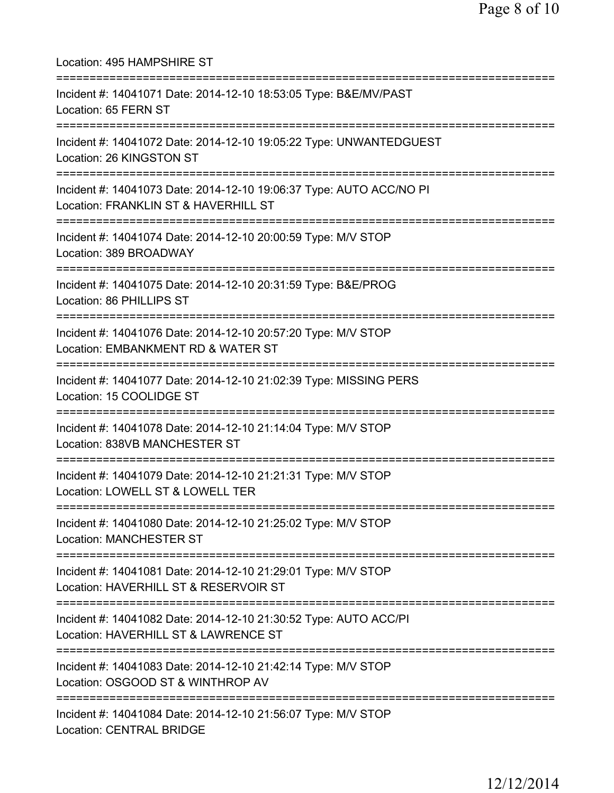| Location: 495 HAMPSHIRE ST<br>====================                                                                                                 |
|----------------------------------------------------------------------------------------------------------------------------------------------------|
| Incident #: 14041071 Date: 2014-12-10 18:53:05 Type: B&E/MV/PAST<br>Location: 65 FERN ST                                                           |
| Incident #: 14041072 Date: 2014-12-10 19:05:22 Type: UNWANTEDGUEST<br>Location: 26 KINGSTON ST                                                     |
| Incident #: 14041073 Date: 2014-12-10 19:06:37 Type: AUTO ACC/NO PI<br>Location: FRANKLIN ST & HAVERHILL ST<br>===========================         |
| Incident #: 14041074 Date: 2014-12-10 20:00:59 Type: M/V STOP<br>Location: 389 BROADWAY                                                            |
| Incident #: 14041075 Date: 2014-12-10 20:31:59 Type: B&E/PROG<br>Location: 86 PHILLIPS ST                                                          |
| Incident #: 14041076 Date: 2014-12-10 20:57:20 Type: M/V STOP<br>Location: EMBANKMENT RD & WATER ST                                                |
| Incident #: 14041077 Date: 2014-12-10 21:02:39 Type: MISSING PERS<br>Location: 15 COOLIDGE ST                                                      |
| Incident #: 14041078 Date: 2014-12-10 21:14:04 Type: M/V STOP<br>Location: 838VB MANCHESTER ST                                                     |
| Incident #: 14041079 Date: 2014-12-10 21:21:31 Type: M/V STOP<br>Location: LOWELL ST & LOWELL TER                                                  |
| Incident #: 14041080 Date: 2014-12-10 21:25:02 Type: M/V STOP<br><b>Location: MANCHESTER ST</b>                                                    |
| Incident #: 14041081 Date: 2014-12-10 21:29:01 Type: M/V STOP<br>Location: HAVERHILL ST & RESERVOIR ST                                             |
| ======================================<br>Incident #: 14041082 Date: 2014-12-10 21:30:52 Type: AUTO ACC/PI<br>Location: HAVERHILL ST & LAWRENCE ST |
| Incident #: 14041083 Date: 2014-12-10 21:42:14 Type: M/V STOP<br>Location: OSGOOD ST & WINTHROP AV                                                 |
| Incident #: 14041084 Date: 2014-12-10 21:56:07 Type: M/V STOP<br>Location: CENTRAL BRIDGE                                                          |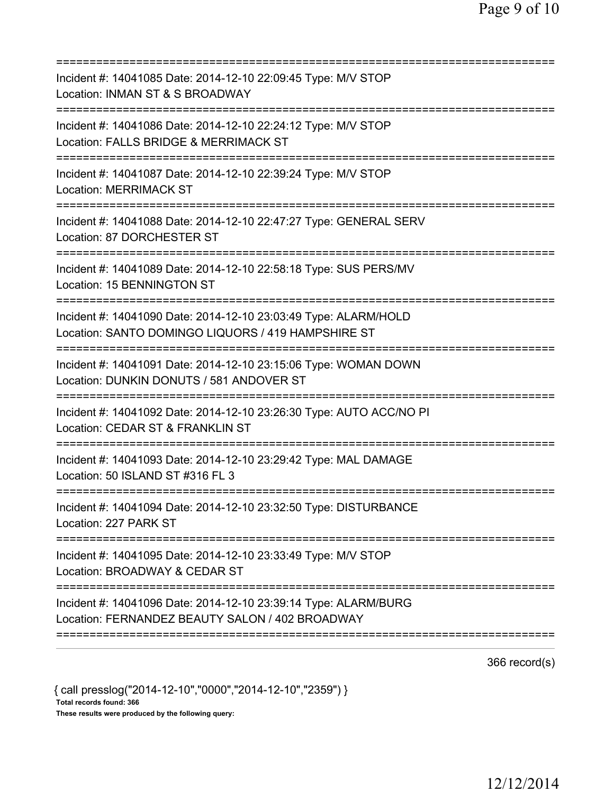| Incident #: 14041085 Date: 2014-12-10 22:09:45 Type: M/V STOP<br>Location: INMAN ST & S BROADWAY<br>=========================<br>==========        |
|----------------------------------------------------------------------------------------------------------------------------------------------------|
| Incident #: 14041086 Date: 2014-12-10 22:24:12 Type: M/V STOP<br>Location: FALLS BRIDGE & MERRIMACK ST                                             |
| Incident #: 14041087 Date: 2014-12-10 22:39:24 Type: M/V STOP<br><b>Location: MERRIMACK ST</b>                                                     |
| Incident #: 14041088 Date: 2014-12-10 22:47:27 Type: GENERAL SERV<br>Location: 87 DORCHESTER ST                                                    |
| Incident #: 14041089 Date: 2014-12-10 22:58:18 Type: SUS PERS/MV<br>Location: 15 BENNINGTON ST<br>======================                           |
| Incident #: 14041090 Date: 2014-12-10 23:03:49 Type: ALARM/HOLD<br>Location: SANTO DOMINGO LIQUORS / 419 HAMPSHIRE ST                              |
| Incident #: 14041091 Date: 2014-12-10 23:15:06 Type: WOMAN DOWN<br>Location: DUNKIN DONUTS / 581 ANDOVER ST<br>=================================== |
| Incident #: 14041092 Date: 2014-12-10 23:26:30 Type: AUTO ACC/NO PI<br>Location: CEDAR ST & FRANKLIN ST                                            |
| Incident #: 14041093 Date: 2014-12-10 23:29:42 Type: MAL DAMAGE<br>Location: 50 ISLAND ST #316 FL 3                                                |
| Incident #: 14041094 Date: 2014-12-10 23:32:50 Type: DISTURBANCE<br>Location: 227 PARK ST                                                          |
| Incident #: 14041095 Date: 2014-12-10 23:33:49 Type: M/V STOP<br>Location: BROADWAY & CEDAR ST                                                     |
| Incident #: 14041096 Date: 2014-12-10 23:39:14 Type: ALARM/BURG<br>Location: FERNANDEZ BEAUTY SALON / 402 BROADWAY                                 |
|                                                                                                                                                    |

366 record(s)

{ call presslog("2014-12-10","0000","2014-12-10","2359") }

Total records found: 366

These results were produced by the following query: